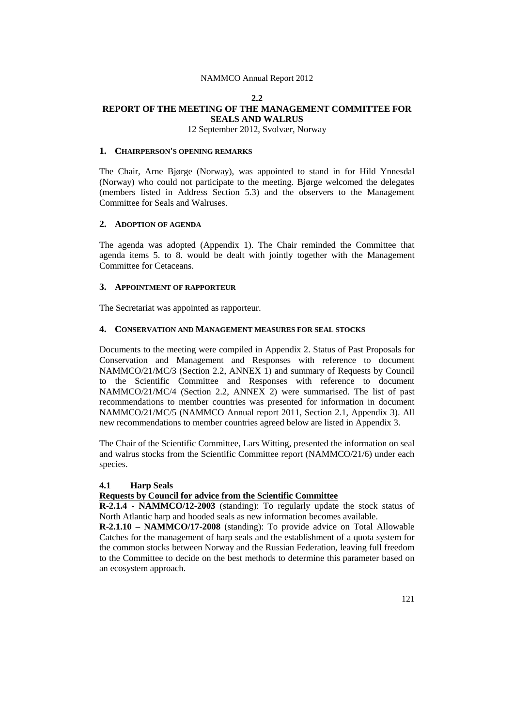### **2.2 REPORT OF THE MEETING OF THE MANAGEMENT COMMITTEE FOR SEALS AND WALRUS** 12 September 2012, Svolvær, Norway

# **1. CHAIRPERSON'S OPENING REMARKS**

The Chair, Arne Bjørge (Norway), was appointed to stand in for Hild Ynnesdal (Norway) who could not participate to the meeting. Bjørge welcomed the delegates (members listed in Address Section 5.3) and the observers to the Management Committee for Seals and Walruses.

### **2. ADOPTION OF AGENDA**

The agenda was adopted (Appendix 1). The Chair reminded the Committee that agenda items 5. to 8. would be dealt with jointly together with the Management Committee for Cetaceans.

# **3. APPOINTMENT OF RAPPORTEUR**

The Secretariat was appointed as rapporteur.

### **4. CONSERVATION AND MANAGEMENT MEASURES FOR SEAL STOCKS**

Documents to the meeting were compiled in Appendix 2. Status of Past Proposals for Conservation and Management and Responses with reference to document NAMMCO/21/MC/3 (Section 2.2, ANNEX 1) and summary of Requests by Council to the Scientific Committee and Responses with reference to document NAMMCO/21/MC/4 (Section 2.2, ANNEX 2) were summarised. The list of past recommendations to member countries was presented for information in document NAMMCO/21/MC/5 (NAMMCO Annual report 2011, Section 2.1, Appendix 3). All new recommendations to member countries agreed below are listed in Appendix 3.

The Chair of the Scientific Committee, Lars Witting, presented the information on seal and walrus stocks from the Scientific Committee report (NAMMCO/21/6) under each species.

# **4.1 Harp Seals**

# **Requests by Council for advice from the Scientific Committee**

**R-2.1.4 - NAMMCO/12-2003** (standing): To regularly update the stock status of North Atlantic harp and hooded seals as new information becomes available.

**R**-**2.1.10 – NAMMCO/17-2008** (standing): To provide advice on Total Allowable Catches for the management of harp seals and the establishment of a quota system for the common stocks between Norway and the Russian Federation, leaving full freedom to the Committee to decide on the best methods to determine this parameter based on an ecosystem approach.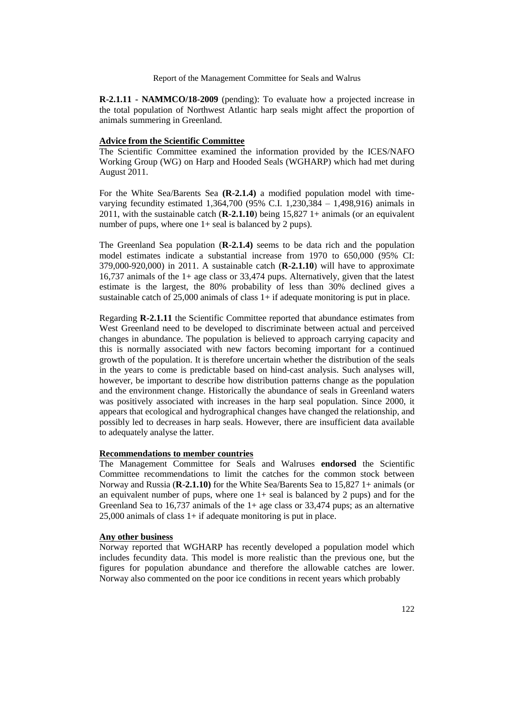**R-2.1.11 - NAMMCO/18-2009** (pending): To evaluate how a projected increase in the total population of Northwest Atlantic harp seals might affect the proportion of animals summering in Greenland.

# **Advice from the Scientific Committee**

The Scientific Committee examined the information provided by the ICES/NAFO Working Group (WG) on Harp and Hooded Seals (WGHARP) which had met during August 2011.

For the White Sea/Barents Sea **(R-2.1.4)** a modified population model with timevarying fecundity estimated 1,364,700 (95% C.I. 1,230,384 – 1,498,916) animals in 2011, with the sustainable catch (**R-2.1.10**) being 15,827 1+ animals (or an equivalent number of pups, where one  $1+$  seal is balanced by 2 pups).

The Greenland Sea population (**R-2.1.4)** seems to be data rich and the population model estimates indicate a substantial increase from 1970 to 650,000 (95% CI: 379,000-920,000) in 2011. A sustainable catch (**R-2.1.10**) will have to approximate 16,737 animals of the 1+ age class or 33,474 pups. Alternatively, given that the latest estimate is the largest, the 80% probability of less than 30% declined gives a sustainable catch of  $25,000$  animals of class  $1+$  if adequate monitoring is put in place.

Regarding **R-2.1.11** the Scientific Committee reported that abundance estimates from West Greenland need to be developed to discriminate between actual and perceived changes in abundance. The population is believed to approach carrying capacity and this is normally associated with new factors becoming important for a continued growth of the population. It is therefore uncertain whether the distribution of the seals in the years to come is predictable based on hind-cast analysis. Such analyses will, however, be important to describe how distribution patterns change as the population and the environment change. Historically the abundance of seals in Greenland waters was positively associated with increases in the harp seal population. Since 2000, it appears that ecological and hydrographical changes have changed the relationship, and possibly led to decreases in harp seals. However, there are insufficient data available to adequately analyse the latter.

### **Recommendations to member countries**

The Management Committee for Seals and Walruses **endorsed** the Scientific Committee recommendations to limit the catches for the common stock between Norway and Russia (**R**-**2.1.10)** for the White Sea/Barents Sea to 15,827 1+ animals (or an equivalent number of pups, where one  $1+$  seal is balanced by 2 pups) and for the Greenland Sea to 16,737 animals of the 1+ age class or 33,474 pups; as an alternative 25,000 animals of class 1+ if adequate monitoring is put in place.

#### **Any other business**

Norway reported that WGHARP has recently developed a population model which includes fecundity data. This model is more realistic than the previous one, but the figures for population abundance and therefore the allowable catches are lower. Norway also commented on the poor ice conditions in recent years which probably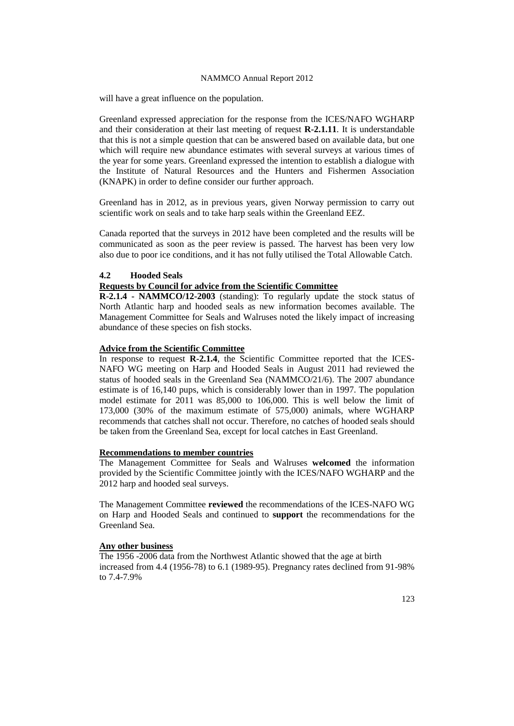will have a great influence on the population.

Greenland expressed appreciation for the response from the ICES/NAFO WGHARP and their consideration at their last meeting of request **R-2.1.11**. It is understandable that this is not a simple question that can be answered based on available data, but one which will require new abundance estimates with several surveys at various times of the year for some years. Greenland expressed the intention to establish a dialogue with the Institute of Natural Resources and the Hunters and Fishermen Association (KNAPK) in order to define consider our further approach.

Greenland has in 2012, as in previous years, given Norway permission to carry out scientific work on seals and to take harp seals within the Greenland EEZ.

Canada reported that the surveys in 2012 have been completed and the results will be communicated as soon as the peer review is passed. The harvest has been very low also due to poor ice conditions, and it has not fully utilised the Total Allowable Catch.

### **4.2 Hooded Seals**

### **Requests by Council for advice from the Scientific Committee**

**R-2.1.4 - NAMMCO/12-2003** (standing): To regularly update the stock status of North Atlantic harp and hooded seals as new information becomes available. The Management Committee for Seals and Walruses noted the likely impact of increasing abundance of these species on fish stocks.

### **Advice from the Scientific Committee**

In response to request **R-2.1.4**, the Scientific Committee reported that the ICES-NAFO WG meeting on Harp and Hooded Seals in August 2011 had reviewed the status of hooded seals in the Greenland Sea (NAMMCO/21/6). The 2007 abundance estimate is of 16,140 pups, which is considerably lower than in 1997. The population model estimate for 2011 was 85,000 to 106,000. This is well below the limit of 173,000 (30% of the maximum estimate of 575,000) animals, where WGHARP recommends that catches shall not occur. Therefore, no catches of hooded seals should be taken from the Greenland Sea, except for local catches in East Greenland.

### **Recommendations to member countries**

The Management Committee for Seals and Walruses **welcomed** the information provided by the Scientific Committee jointly with the ICES/NAFO WGHARP and the 2012 harp and hooded seal surveys.

The Management Committee **reviewed** the recommendations of the ICES-NAFO WG on Harp and Hooded Seals and continued to **support** the recommendations for the Greenland Sea.

#### **Any other business**

The 1956 -2006 data from the Northwest Atlantic showed that the age at birth increased from 4.4 (1956-78) to 6.1 (1989-95). Pregnancy rates declined from 91-98% to 7.4-7.9%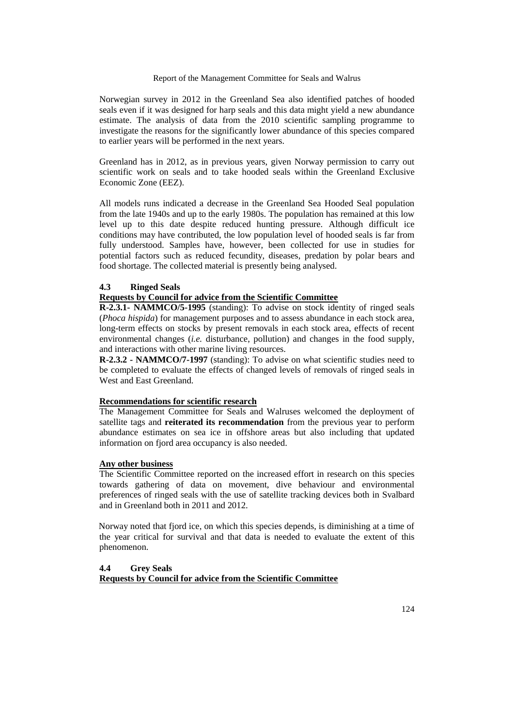Norwegian survey in 2012 in the Greenland Sea also identified patches of hooded seals even if it was designed for harp seals and this data might yield a new abundance estimate. The analysis of data from the 2010 scientific sampling programme to investigate the reasons for the significantly lower abundance of this species compared to earlier years will be performed in the next years.

Greenland has in 2012, as in previous years, given Norway permission to carry out scientific work on seals and to take hooded seals within the Greenland Exclusive Economic Zone (EEZ).

All models runs indicated a decrease in the Greenland Sea Hooded Seal population from the late 1940s and up to the early 1980s. The population has remained at this low level up to this date despite reduced hunting pressure. Although difficult ice conditions may have contributed, the low population level of hooded seals is far from fully understood. Samples have, however, been collected for use in studies for potential factors such as reduced fecundity, diseases, predation by polar bears and food shortage. The collected material is presently being analysed.

### **4.3 Ringed Seals**

# **Requests by Council for advice from the Scientific Committee**

**R-2.3.1- NAMMCO/5-1995** (standing): To advise on stock identity of ringed seals (*Phoca hispida*) for management purposes and to assess abundance in each stock area, long-term effects on stocks by present removals in each stock area, effects of recent environmental changes (*i.e.* disturbance, pollution) and changes in the food supply, and interactions with other marine living resources.

**R-2.3.2 - NAMMCO/7-1997** (standing): To advise on what scientific studies need to be completed to evaluate the effects of changed levels of removals of ringed seals in West and East Greenland.

### **Recommendations for scientific research**

The Management Committee for Seals and Walruses welcomed the deployment of satellite tags and **reiterated its recommendation** from the previous year to perform abundance estimates on sea ice in offshore areas but also including that updated information on fjord area occupancy is also needed.

#### **Any other business**

The Scientific Committee reported on the increased effort in research on this species towards gathering of data on movement, dive behaviour and environmental preferences of ringed seals with the use of satellite tracking devices both in Svalbard and in Greenland both in 2011 and 2012.

Norway noted that fjord ice, on which this species depends, is diminishing at a time of the year critical for survival and that data is needed to evaluate the extent of this phenomenon.

# **4.4 Grey Seals Requests by Council for advice from the Scientific Committee**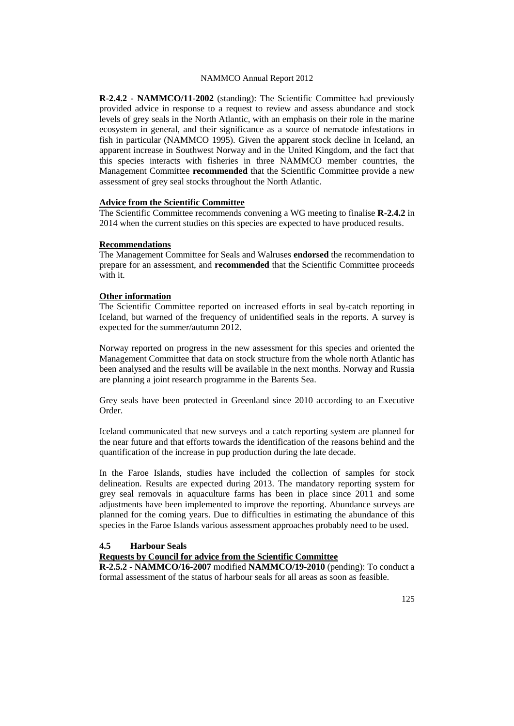**R-2.4.2 - NAMMCO/11-2002** (standing): The Scientific Committee had previously provided advice in response to a request to review and assess abundance and stock levels of grey seals in the North Atlantic, with an emphasis on their role in the marine ecosystem in general, and their significance as a source of nematode infestations in fish in particular (NAMMCO 1995). Given the apparent stock decline in Iceland, an apparent increase in Southwest Norway and in the United Kingdom, and the fact that this species interacts with fisheries in three NAMMCO member countries, the Management Committee **recommended** that the Scientific Committee provide a new assessment of grey seal stocks throughout the North Atlantic.

### **Advice from the Scientific Committee**

The Scientific Committee recommends convening a WG meeting to finalise **R-2.4.2** in 2014 when the current studies on this species are expected to have produced results.

### **Recommendations**

The Management Committee for Seals and Walruses **endorsed** the recommendation to prepare for an assessment, and **recommended** that the Scientific Committee proceeds with it.

### **Other information**

The Scientific Committee reported on increased efforts in seal by-catch reporting in Iceland, but warned of the frequency of unidentified seals in the reports. A survey is expected for the summer/autumn 2012.

Norway reported on progress in the new assessment for this species and oriented the Management Committee that data on stock structure from the whole north Atlantic has been analysed and the results will be available in the next months. Norway and Russia are planning a joint research programme in the Barents Sea.

Grey seals have been protected in Greenland since 2010 according to an Executive Order.

Iceland communicated that new surveys and a catch reporting system are planned for the near future and that efforts towards the identification of the reasons behind and the quantification of the increase in pup production during the late decade.

In the Faroe Islands, studies have included the collection of samples for stock delineation. Results are expected during 2013. The mandatory reporting system for grey seal removals in aquaculture farms has been in place since 2011 and some adjustments have been implemented to improve the reporting. Abundance surveys are planned for the coming years. Due to difficulties in estimating the abundance of this species in the Faroe Islands various assessment approaches probably need to be used.

# **4.5 Harbour Seals**

### **Requests by Council for advice from the Scientific Committee**

**R-2.5.2 - NAMMCO/16-2007** modified **NAMMCO/19-2010** (pending): To conduct a formal assessment of the status of harbour seals for all areas as soon as feasible.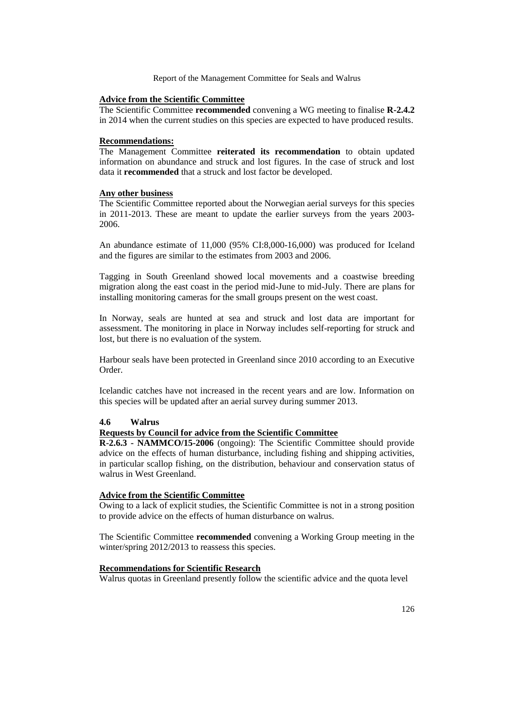# **Advice from the Scientific Committee**

The Scientific Committee **recommended** convening a WG meeting to finalise **R-2.4.2** in 2014 when the current studies on this species are expected to have produced results.

### **Recommendations:**

The Management Committee **reiterated its recommendation** to obtain updated information on abundance and struck and lost figures. In the case of struck and lost data it **recommended** that a struck and lost factor be developed.

### **Any other business**

The Scientific Committee reported about the Norwegian aerial surveys for this species in 2011-2013. These are meant to update the earlier surveys from the years 2003- 2006.

An abundance estimate of 11,000 (95% CI:8,000-16,000) was produced for Iceland and the figures are similar to the estimates from 2003 and 2006.

Tagging in South Greenland showed local movements and a coastwise breeding migration along the east coast in the period mid-June to mid-July. There are plans for installing monitoring cameras for the small groups present on the west coast.

In Norway, seals are hunted at sea and struck and lost data are important for assessment. The monitoring in place in Norway includes self-reporting for struck and lost, but there is no evaluation of the system.

Harbour seals have been protected in Greenland since 2010 according to an Executive Order.

Icelandic catches have not increased in the recent years and are low. Information on this species will be updated after an aerial survey during summer 2013.

# **4.6 Walrus**

### **Requests by Council for advice from the Scientific Committee**

**R-2.6.3 - NAMMCO/15-2006** (ongoing): The Scientific Committee should provide advice on the effects of human disturbance, including fishing and shipping activities, in particular scallop fishing, on the distribution, behaviour and conservation status of walrus in West Greenland.

## **Advice from the Scientific Committee**

Owing to a lack of explicit studies, the Scientific Committee is not in a strong position to provide advice on the effects of human disturbance on walrus.

The Scientific Committee **recommended** convening a Working Group meeting in the winter/spring 2012/2013 to reassess this species.

### **Recommendations for Scientific Research**

Walrus quotas in Greenland presently follow the scientific advice and the quota level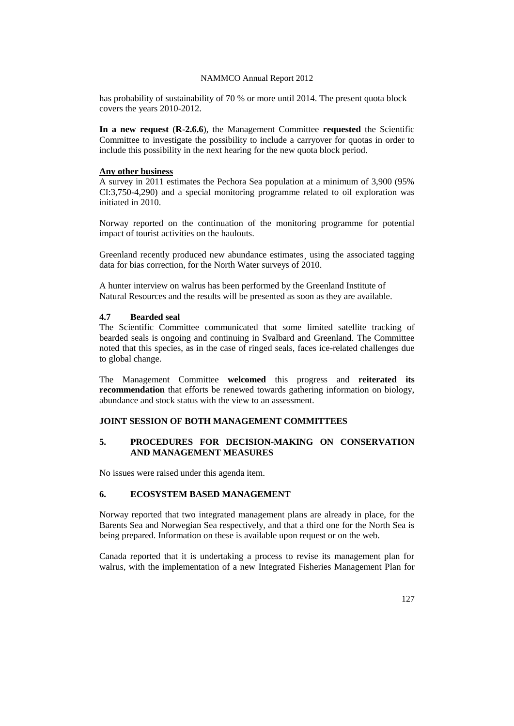has probability of sustainability of 70 % or more until 2014. The present quota block covers the years 2010-2012.

**In a new request** (**R-2.6.6**), the Management Committee **requested** the Scientific Committee to investigate the possibility to include a carryover for quotas in order to include this possibility in the next hearing for the new quota block period.

### **Any other business**

A survey in 2011 estimates the Pechora Sea population at a minimum of 3,900 (95% CI:3,750-4,290) and a special monitoring programme related to oil exploration was initiated in 2010.

Norway reported on the continuation of the monitoring programme for potential impact of tourist activities on the haulouts.

Greenland recently produced new abundance estimates<sub>,</sub> using the associated tagging data for bias correction, for the North Water surveys of 2010.

A hunter interview on walrus has been performed by the Greenland Institute of Natural Resources and the results will be presented as soon as they are available.

# **4.7 Bearded seal**

The Scientific Committee communicated that some limited satellite tracking of bearded seals is ongoing and continuing in Svalbard and Greenland. The Committee noted that this species, as in the case of ringed seals, faces ice-related challenges due to global change.

The Management Committee **welcomed** this progress and **reiterated its recommendation** that efforts be renewed towards gathering information on biology, abundance and stock status with the view to an assessment.

# **JOINT SESSION OF BOTH MANAGEMENT COMMITTEES**

### **5. PROCEDURES FOR DECISION-MAKING ON CONSERVATION AND MANAGEMENT MEASURES**

No issues were raised under this agenda item.

### **6. ECOSYSTEM BASED MANAGEMENT**

Norway reported that two integrated management plans are already in place, for the Barents Sea and Norwegian Sea respectively, and that a third one for the North Sea is being prepared. Information on these is available upon request or on the web.

Canada reported that it is undertaking a process to revise its management plan for walrus, with the implementation of a new Integrated Fisheries Management Plan for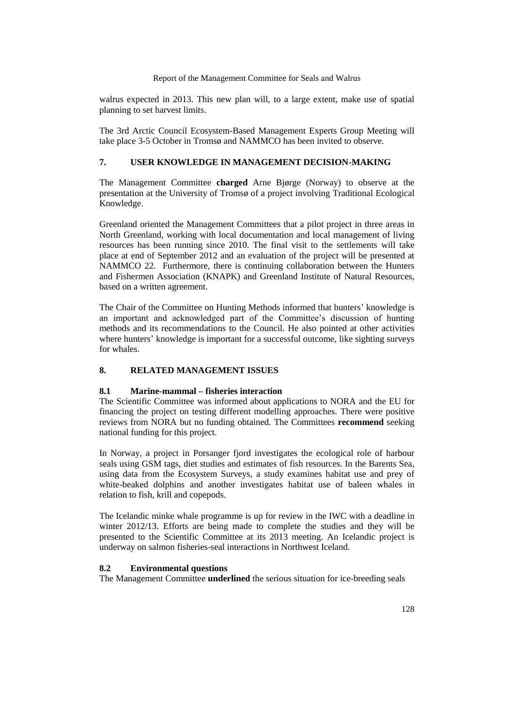walrus expected in 2013. This new plan will, to a large extent, make use of spatial planning to set harvest limits.

The 3rd Arctic Council Ecosystem-Based Management Experts Group Meeting will take place 3-5 October in Tromsø and NAMMCO has been invited to observe.

# **7. USER KNOWLEDGE IN MANAGEMENT DECISION-MAKING**

The Management Committee **charged** Arne Bjørge (Norway) to observe at the presentation at the University of Tromsø of a project involving Traditional Ecological Knowledge.

Greenland oriented the Management Committees that a pilot project in three areas in North Greenland, working with local documentation and local management of living resources has been running since 2010. The final visit to the settlements will take place at end of September 2012 and an evaluation of the project will be presented at NAMMCO 22. Furthermore, there is continuing collaboration between the Hunters and Fishermen Association (KNAPK) and Greenland Institute of Natural Resources, based on a written agreement.

The Chair of the Committee on Hunting Methods informed that hunters' knowledge is an important and acknowledged part of the Committee's discussion of hunting methods and its recommendations to the Council. He also pointed at other activities where hunters' knowledge is important for a successful outcome, like sighting surveys for whales.

# **8. RELATED MANAGEMENT ISSUES**

### **8.1 Marine-mammal – fisheries interaction**

The Scientific Committee was informed about applications to NORA and the EU for financing the project on testing different modelling approaches. There were positive reviews from NORA but no funding obtained. The Committees **recommend** seeking national funding for this project.

In Norway, a project in Porsanger fjord investigates the ecological role of harbour seals using GSM tags, diet studies and estimates of fish resources. In the Barents Sea, using data from the Ecosystem Surveys, a study examines habitat use and prey of white-beaked dolphins and another investigates habitat use of baleen whales in relation to fish, krill and copepods.

The Icelandic minke whale programme is up for review in the IWC with a deadline in winter 2012/13. Efforts are being made to complete the studies and they will be presented to the Scientific Committee at its 2013 meeting. An Icelandic project is underway on salmon fisheries-seal interactions in Northwest Iceland.

### **8.2 Environmental questions**

The Management Committee **underlined** the serious situation for ice-breeding seals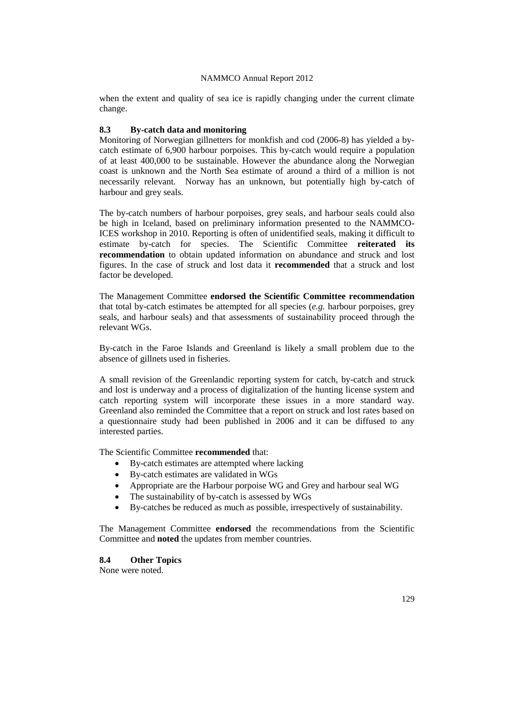when the extent and quality of sea ice is rapidly changing under the current climate change.

### **8.3 By-catch data and monitoring**

Monitoring of Norwegian gillnetters for monkfish and cod (2006-8) has yielded a bycatch estimate of 6,900 harbour porpoises. This by-catch would require a population of at least 400,000 to be sustainable. However the abundance along the Norwegian coast is unknown and the North Sea estimate of around a third of a million is not necessarily relevant. Norway has an unknown, but potentially high by-catch of harbour and grey seals.

The by-catch numbers of harbour porpoises, grey seals, and harbour seals could also be high in Iceland, based on preliminary information presented to the NAMMCO-ICES workshop in 2010. Reporting is often of unidentified seals, making it difficult to estimate by-catch for species. The Scientific Committee **reiterated its recommendation** to obtain updated information on abundance and struck and lost figures. In the case of struck and lost data it **recommended** that a struck and lost factor be developed.

The Management Committee **endorsed the Scientific Committee recommendation** that total by-catch estimates be attempted for all species (*e.g.* harbour porpoises, grey seals, and harbour seals) and that assessments of sustainability proceed through the relevant WGs.

By-catch in the Faroe Islands and Greenland is likely a small problem due to the absence of gillnets used in fisheries.

A small revision of the Greenlandic reporting system for catch, by-catch and struck and lost is underway and a process of digitalization of the hunting license system and catch reporting system will incorporate these issues in a more standard way. Greenland also reminded the Committee that a report on struck and lost rates based on a questionnaire study had been published in 2006 and it can be diffused to any interested parties.

The Scientific Committee **recommended** that:

- By-catch estimates are attempted where lacking
- By-catch estimates are validated in WGs
- Appropriate are the Harbour porpoise WG and Grey and harbour seal WG
- The sustainability of by-catch is assessed by WGs
- By-catches be reduced as much as possible, irrespectively of sustainability.

The Management Committee **endorsed** the recommendations from the Scientific Committee and **noted** the updates from member countries.

**8.4 Other Topics**

None were noted.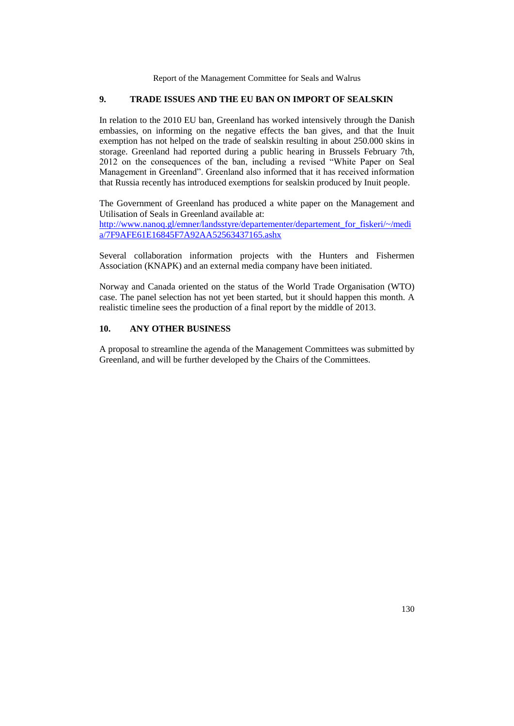# **9. TRADE ISSUES AND THE EU BAN ON IMPORT OF SEALSKIN**

In relation to the 2010 EU ban, Greenland has worked intensively through the Danish embassies, on informing on the negative effects the ban gives, and that the Inuit exemption has not helped on the trade of sealskin resulting in about 250.000 skins in storage. Greenland had reported during a public hearing in Brussels February 7th, 2012 on the consequences of the ban, including a revised "White Paper on Seal Management in Greenland". Greenland also informed that it has received information that Russia recently has introduced exemptions for sealskin produced by Inuit people.

The Government of Greenland has produced a white paper on the Management and Utilisation of Seals in Greenland available at: [http://www.nanoq.gl/emner/landsstyre/departementer/departement\\_for\\_fiskeri/~/medi](http://www.nanoq.gl/emner/landsstyre/departementer/departement_for_fiskeri/~/media/7F9AFE61E16845F7A92AA52563437165.ashx)

[a/7F9AFE61E16845F7A92AA52563437165.ashx](http://www.nanoq.gl/emner/landsstyre/departementer/departement_for_fiskeri/~/media/7F9AFE61E16845F7A92AA52563437165.ashx)

Several collaboration information projects with the Hunters and Fishermen Association (KNAPK) and an external media company have been initiated.

Norway and Canada oriented on the status of the World Trade Organisation (WTO) case. The panel selection has not yet been started, but it should happen this month. A realistic timeline sees the production of a final report by the middle of 2013.

# **10. ANY OTHER BUSINESS**

A proposal to streamline the agenda of the Management Committees was submitted by Greenland, and will be further developed by the Chairs of the Committees.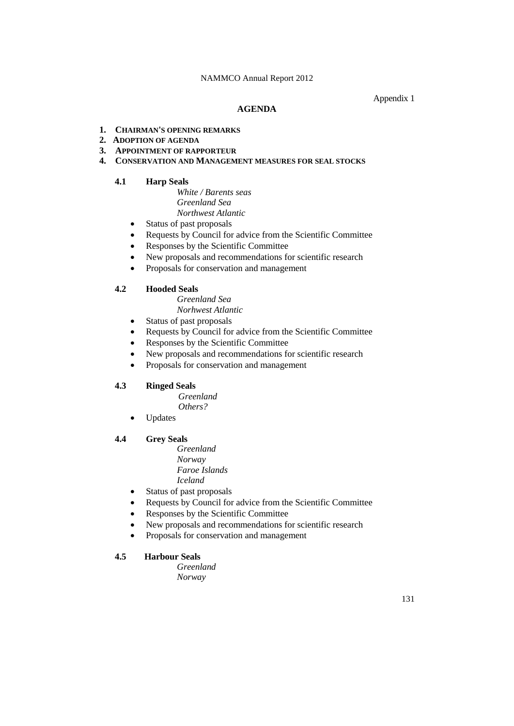## Appendix 1

### **AGENDA**

## **1. CHAIRMAN'S OPENING REMARKS**

- **2. ADOPTION OF AGENDA**
- **3. APPOINTMENT OF RAPPORTEUR**

## **4. CONSERVATION AND MANAGEMENT MEASURES FOR SEAL STOCKS**

# **4.1 Harp Seals**

*White / Barents seas Greenland Sea Northwest Atlantic*

- Status of past proposals
- Requests by Council for advice from the Scientific Committee
- Responses by the Scientific Committee
- New proposals and recommendations for scientific research
- Proposals for conservation and management

# **4.2 Hooded Seals**

*Greenland Sea Norhwest Atlantic*

- Status of past proposals
- Requests by Council for advice from the Scientific Committee
- Responses by the Scientific Committee
- New proposals and recommendations for scientific research
- Proposals for conservation and management

# **4.3 Ringed Seals**

 *Greenland Others?*

Updates

# **4.4 Grey Seals**

- *Greenland Norway Faroe Islands Iceland*
- Status of past proposals
- Requests by Council for advice from the Scientific Committee
- Responses by the Scientific Committee
- New proposals and recommendations for scientific research
- Proposals for conservation and management

# **4.5 Harbour Seals**

*Greenland Norway*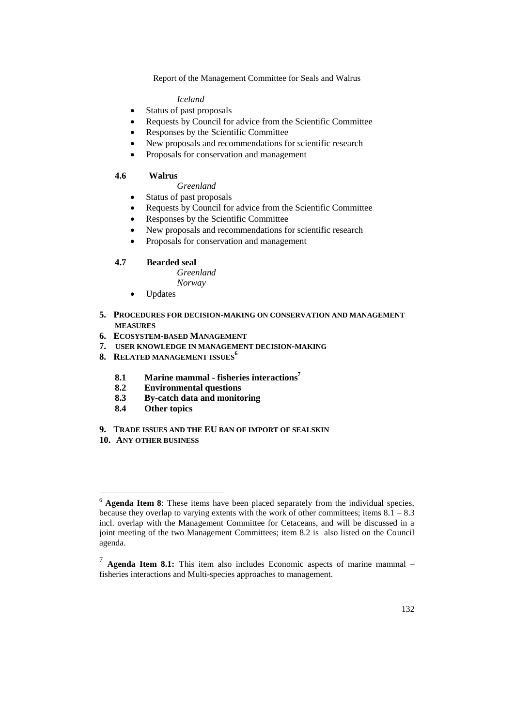### *Iceland*

- Status of past proposals
- Requests by Council for advice from the Scientific Committee
- Responses by the Scientific Committee
- New proposals and recommendations for scientific research
- Proposals for conservation and management

# **4.6 Walrus**

- *Greenland*
- Status of past proposals
- Requests by Council for advice from the Scientific Committee
- Responses by the Scientific Committee
- New proposals and recommendations for scientific research
- Proposals for conservation and management

# **4.7 Bearded seal**

*Greenland Norway*

- Updates
- **5. PROCEDURES FOR DECISION-MAKING ON CONSERVATION AND MANAGEMENT MEASURES**
- **6. ECOSYSTEM-BASED MANAGEMENT**
- **7. USER KNOWLEDGE IN MANAGEMENT DECISION-MAKING**
- **8. RELATED MANAGEMENT ISSUES<sup>6</sup>**
	- **8.1 Marine mammal - fisheries interactions<sup>7</sup>**
	- **8.2 Environmental questions**
	- **8.3 By-catch data and monitoring**
	- **8.4 Other topics**
- **9. TRADE ISSUES AND THE EU BAN OF IMPORT OF SEALSKIN**
- **10. ANY OTHER BUSINESS**

<u>.</u>

<sup>6</sup> **Agenda Item 8**: These items have been placed separately from the individual species, because they overlap to varying extents with the work of other committees; items  $8.1 - 8.3$ incl. overlap with the Management Committee for Cetaceans, and will be discussed in a joint meeting of the two Management Committees; item 8.2 is also listed on the Council agenda.

<sup>7</sup> **Agenda Item 8.1:** This item also includes Economic aspects of marine mammal – fisheries interactions and Multi-species approaches to management.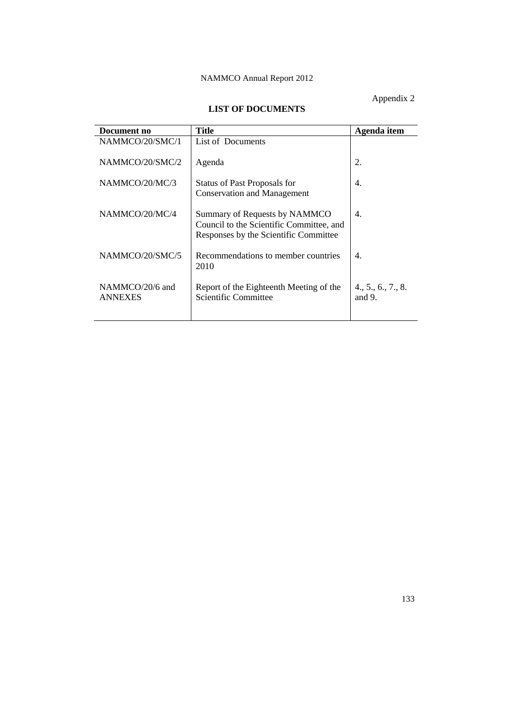Appendix 2

# **LIST OF DOCUMENTS**

| Document no                       | Title                                                                                                              | Agenda item                     |
|-----------------------------------|--------------------------------------------------------------------------------------------------------------------|---------------------------------|
| NAMMCO/20/SMC/1                   | List of Documents                                                                                                  |                                 |
| NAMMCO/20/SMC/2                   | Agenda                                                                                                             | 2.                              |
| NAMMCO/20/MC/3                    | <b>Status of Past Proposals for</b><br><b>Conservation and Management</b>                                          | 4.                              |
| NAMMCO/20/MC/4                    | Summary of Requests by NAMMCO<br>Council to the Scientific Committee, and<br>Responses by the Scientific Committee | 4.                              |
| NAMMCO/20/SMC/5                   | Recommendations to member countries<br>2010                                                                        | $\mathbf{4}$ .                  |
| NAMMCO/20/6 and<br><b>ANNEXES</b> | Report of the Eighteenth Meeting of the<br>Scientific Committee                                                    | 4., 5., 6., 7., 8.<br>and $9$ . |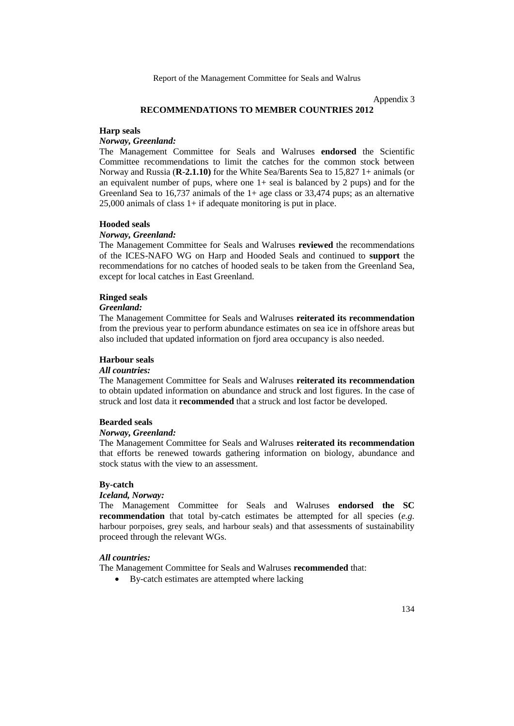Appendix 3

# **RECOMMENDATIONS TO MEMBER COUNTRIES 2012**

#### **Harp seals**

### *Norway, Greenland:*

The Management Committee for Seals and Walruses **endorsed** the Scientific Committee recommendations to limit the catches for the common stock between Norway and Russia (**R**-**2.1.10)** for the White Sea/Barents Sea to 15,827 1+ animals (or an equivalent number of pups, where one  $1+$  seal is balanced by 2 pups) and for the Greenland Sea to 16,737 animals of the 1+ age class or 33,474 pups; as an alternative 25,000 animals of class 1+ if adequate monitoring is put in place.

#### **Hooded seals**

### *Norway, Greenland:*

The Management Committee for Seals and Walruses **reviewed** the recommendations of the ICES-NAFO WG on Harp and Hooded Seals and continued to **support** the recommendations for no catches of hooded seals to be taken from the Greenland Sea, except for local catches in East Greenland.

### **Ringed seals**

# *Greenland:*

The Management Committee for Seals and Walruses **reiterated its recommendation** from the previous year to perform abundance estimates on sea ice in offshore areas but also included that updated information on fjord area occupancy is also needed.

### **Harbour seals**

### *All countries:*

The Management Committee for Seals and Walruses **reiterated its recommendation** to obtain updated information on abundance and struck and lost figures. In the case of struck and lost data it **recommended** that a struck and lost factor be developed.

#### **Bearded seals**

#### *Norway, Greenland:*

The Management Committee for Seals and Walruses **reiterated its recommendation** that efforts be renewed towards gathering information on biology, abundance and stock status with the view to an assessment.

#### **By-catch**

# *Iceland, Norway:*

The Management Committee for Seals and Walruses **endorsed the SC recommendation** that total by-catch estimates be attempted for all species (*e.g.* harbour porpoises, grey seals, and harbour seals) and that assessments of sustainability proceed through the relevant WGs.

### *All countries:*

The Management Committee for Seals and Walruses **recommended** that:

By-catch estimates are attempted where lacking